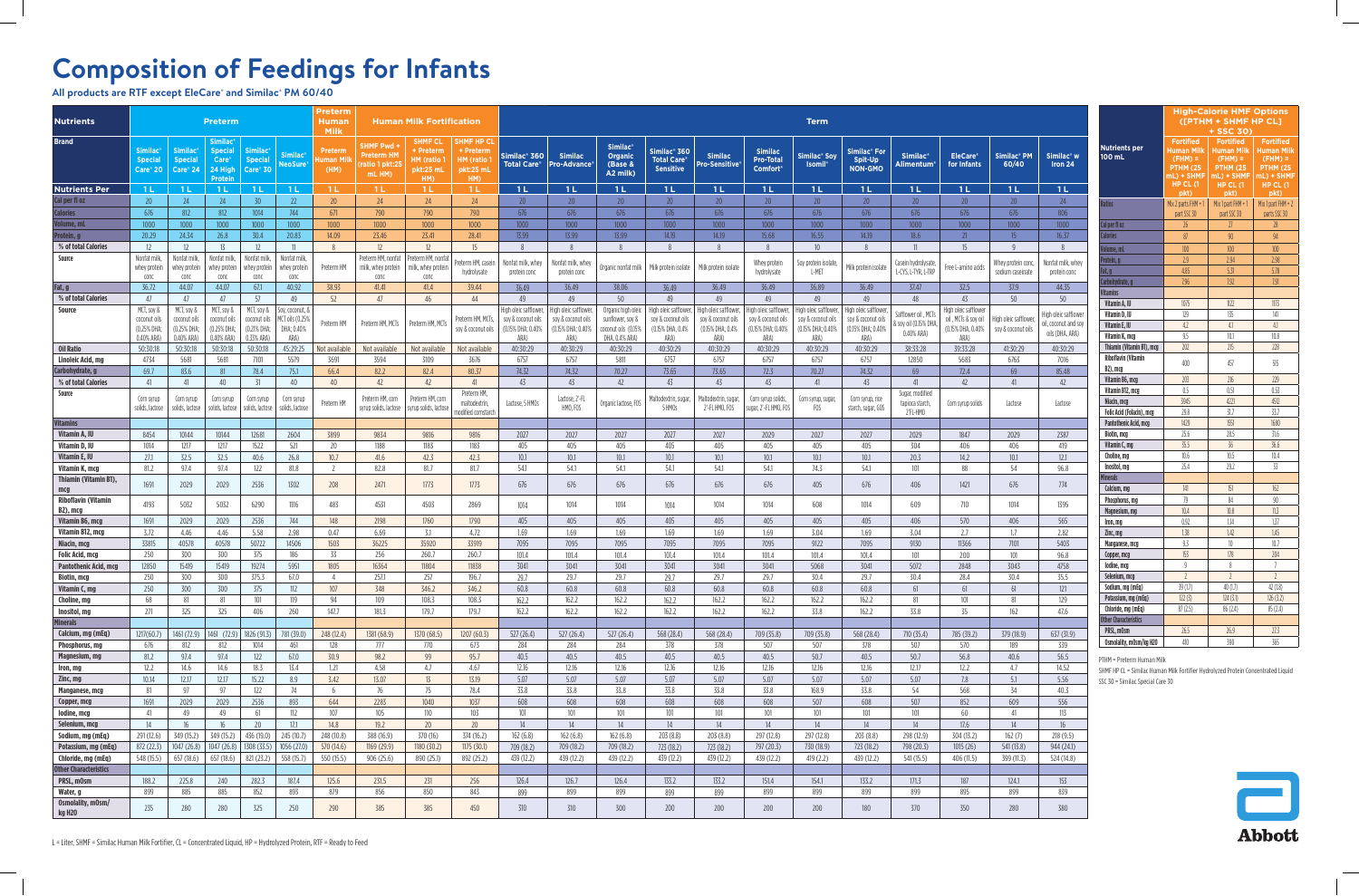## **Composition of Feedings for Infants**

**All products are RTF except EleCare® and Similac® PM 60/40**

 $\overline{\phantom{0}}$ 

| <b>Nutrients</b>                          |                                                         |                                                          | <b>Preterm</b>                                                                              |                                                          |                                                          | Preterm<br>Human                         |                                                     | <b>Human Milk Fortification</b>                              |                                                                 | <b>Term</b>                                                              |                                                                         |                                                                                 |                                                                         |                                                                         |                                                                         |                                                                          |                                                                          |                                                            |                                                                          |                                             |                                                               |
|-------------------------------------------|---------------------------------------------------------|----------------------------------------------------------|---------------------------------------------------------------------------------------------|----------------------------------------------------------|----------------------------------------------------------|------------------------------------------|-----------------------------------------------------|--------------------------------------------------------------|-----------------------------------------------------------------|--------------------------------------------------------------------------|-------------------------------------------------------------------------|---------------------------------------------------------------------------------|-------------------------------------------------------------------------|-------------------------------------------------------------------------|-------------------------------------------------------------------------|--------------------------------------------------------------------------|--------------------------------------------------------------------------|------------------------------------------------------------|--------------------------------------------------------------------------|---------------------------------------------|---------------------------------------------------------------|
| <b>Brand</b>                              | <b>Similac®</b><br><b>Special</b><br>Care® 20           | <b>Similac<sup>®</sup></b><br><b>Special</b><br>Care® 24 | <b>Similac</b> ®<br><b>Special</b><br><b>Care</b> <sup>®</sup><br>24 High<br><b>Protein</b> | <b>Similac<sup>®</sup></b><br><b>Special</b><br>Care® 30 | <b>Similac</b><br>NeoSure                                | <b>Milk</b><br>Preterm<br>uman M<br>(HM) | SHMF Pwd -<br>Preterm HM<br>ratio 1 pkt:2<br>mL HM) | <b>SHMF CL</b><br>+ Preterm<br>HM (ratio<br>pkt:25 mL<br>HM) | <b>SHMF HP CL</b><br>+ Preterm<br>HM (ratio<br>pkt:25 mL<br>HM) | Similac <sup>®</sup> 360<br><b>Total Care®</b>                           | <b>Similac</b><br><b>Pro-Advance</b>                                    | <b>Similac®</b><br><b>Organic</b><br>(Base &<br>A2 milk)                        | Similac <sup>®</sup> 360<br><b>Total Care®</b><br><b>Sensitive</b>      | <b>Similac</b><br>Pro-Sensitive®                                        | <b>Similac</b><br><b>Pro-Total</b><br><b>Comfort</b> <sup>®</sup>       | <b>Similac® Soy</b><br><b>Isomil</b> <sup>8</sup>                        | <b>Similac<sup>®</sup></b> For<br>Spit-Up<br><b>NON-GMO</b>              | <b>Similac®</b><br>Alimentum®                              | <b>EleCare®</b><br>for Infants                                           | Similac <sup>®</sup> PM<br>60/40            | Similac <sup>®</sup> w<br>Iron 24                             |
| <b>Nutrients Per</b>                      | 1 L                                                     | 1 <sub>L</sub>                                           | 1 L                                                                                         | 1 <sub>L</sub>                                           | 1 L                                                      | 1 L                                      | 1L                                                  | 1 L                                                          | 1 L                                                             | 1 <sub>L</sub>                                                           | -1 L                                                                    | 1 <sub>L</sub>                                                                  | 1 <sub>L</sub>                                                          | 1 <sub>L</sub>                                                          | 1 <sub>L</sub>                                                          | 1 <sub>L</sub>                                                           | 1L                                                                       | 1L                                                         | -1 L                                                                     | 1 <sub>L</sub>                              | 1L                                                            |
| Cal per fl oz                             | 20                                                      | 24                                                       | 24                                                                                          | 30                                                       | 22                                                       | 20                                       | 24                                                  | 24                                                           | 24                                                              | 20 <sup>°</sup>                                                          | 20                                                                      | 20 <sup>°</sup>                                                                 | 20                                                                      | 20 <sup>°</sup>                                                         | 20                                                                      | 20                                                                       | 20                                                                       | 20                                                         | 20 <sup>°</sup>                                                          | 20                                          | 24                                                            |
| <b>Calories</b>                           | 676<br>1000                                             | 812<br>1000                                              | 812<br>1000                                                                                 | 1014<br>1000                                             | 744<br>1000                                              | 671<br>1000                              | 790<br>1000                                         | 790<br>1000                                                  | 790<br>1000                                                     | 676<br>1000                                                              | 676<br>1000                                                             | 676<br>1000                                                                     | 676                                                                     | 676<br>1000                                                             | 676<br>1000                                                             | 676<br>1000                                                              | 676<br>1000                                                              | 676<br>1000                                                | 676<br>1000                                                              | 676<br>1000                                 | 806<br>1000                                                   |
| Volume, mL<br>Protein, g                  | 20.29                                                   | 24.34                                                    | 26.8                                                                                        | 30.4                                                     | 20.83                                                    | 14.09                                    | 23.46                                               | 23.41                                                        | 28.41                                                           | 13.99                                                                    | 13.99                                                                   | 13.99                                                                           | 1000<br>14.19                                                           | 14.19                                                                   | 15.68                                                                   | 16.55                                                                    | 14.19                                                                    | 18.6                                                       | 21                                                                       | 15                                          | 16.37                                                         |
| % of total Calories                       | 12                                                      | 12                                                       | 13                                                                                          | 12                                                       | $\overline{11}$                                          | 8                                        | 12                                                  | 12                                                           | 15                                                              | 8                                                                        | 8                                                                       | 8                                                                               |                                                                         | 8                                                                       | 8                                                                       | 10 <sup>°</sup>                                                          | 8                                                                        | 11                                                         | 15                                                                       | -9                                          | 8                                                             |
| Source                                    | Nonfat milk,<br>whey protein<br>conc                    | Nonfat milk,<br>whey protein<br>conc                     | Nonfat milk<br>whey protein<br>conc                                                         | Nonfat milk,<br>whey protein<br>conc                     | Nonfat milk,<br>whey protein<br>conc                     | Preterm HM                               | Preterm HM, nonfat<br>milk, whey protein<br>conc    | Preterm HM, nonfa<br>milk, whey proteir<br>conc              | eterm HM, caseir<br>hydrolysate                                 | Nonfat milk, whey<br>protein conc                                        | Nonfat milk, whey<br>protein conc                                       | Organic nonfat milk                                                             | Milk protein isolate                                                    | Milk protein isolate                                                    | Whey protein<br>hydrolysate                                             | Soy protein isolate,<br>L-MET                                            | Milk protein isolate                                                     | Casein hydrolysate,<br>L-CYS, L-TYR, L-TRP                 | Free L-amino acids                                                       | Whey protein conc.<br>sodium caseinate      | Nonfat milk, whey<br>protein conc                             |
| Fat, g                                    | 36.72                                                   | 44.07                                                    | 44.07                                                                                       | 67.1                                                     | 40.92                                                    | 38.93                                    | 41.41                                               | 41.4                                                         | 39.44                                                           | 36.49                                                                    | 36.49                                                                   | 38.06                                                                           | 36.49                                                                   | 36.49                                                                   | 36.49                                                                   | 36.89                                                                    | 36.49                                                                    | 37.47                                                      | 32.5                                                                     | 37.9                                        | 44.35                                                         |
| % of total Calories                       | 47                                                      | 47                                                       | 47                                                                                          | 57                                                       | 49                                                       | 52                                       | 47                                                  | 46                                                           | 44                                                              | 49                                                                       | 49                                                                      | 50                                                                              | 49                                                                      | 49                                                                      | 49                                                                      | 49                                                                       | 49                                                                       | 48                                                         | 43                                                                       | 50                                          | 50                                                            |
| Source                                    | MCT, soy &<br>coconut oils<br>(0.25% DHA;<br>0.40% ARA) | MCT, soy &<br>coconut oils<br>(0.25% DHA;<br>0.40% ARA)  | MCT, soy &<br>coconut oils<br>(0.25% DHA;<br>0.40% ARA)                                     | MCT, soy &<br>coconut oils<br>(0.21% DHA;<br>0.33% ARA)  | Soy, coconut, 8<br>MCT oils (0.25%<br>DHA; 0.40%<br>ARA) | Preterm HM                               | Preterm HM, MCTs                                    | Preterm HM, MCT:                                             | Preterm HM, MCTs,<br>soy & coconut oils                         | High oleic safflower.<br>soy & coconut oils<br>(0.15% DHA; 0.40%<br>ARA) | High oleic safflower<br>soy & coconut oils<br>(0.15% DHA; 0.40%<br>ARA) | Organic high oleic<br>sunflower, soy &<br>coconut oils (0.15%<br>DHA, 0.4% ARA) | High oleic safflower,<br>soy & coconut oils<br>(0.15% DHA, 0.4%<br>ARA) | High oleic safflower.<br>soy & coconut oils<br>(0.15% DHA, 0.4%<br>ARA) | High oleic safflower<br>soy & coconut oils<br>(0.15% DHA; 0.40%<br>ARA) | High oleic safflower,<br>soy & coconut oils<br>(0.15% DHA; 0.40%<br>ARA) | High oleic safflower,<br>sov & coconut oils<br>(0.15% DHA; 0.40%<br>ARA) | Safflower oil, MCTs<br>& soy oil (0.15% DHA,<br>0.40% ARA) | High oleic safflower<br>oil, MCTs & soy oil<br>(0.15% DHA, 0.40%<br>ARA) | High oleic safflower,<br>soy & coconut oils | ligh oleic safflower<br>l, coconut and soy<br>oils (DHA, ARA) |
| Oil Ratio                                 | 50:30:18                                                | 50:30:18                                                 | 50:30:18                                                                                    | 50:30:18                                                 | 45:29:25                                                 | Not available                            | Not available                                       | Not available                                                | Not available                                                   | 40:30:29                                                                 | 40:30:29                                                                | 40:30:29                                                                        | 40:30:29                                                                | 40:30:29                                                                | 40:30:29                                                                | 40:30:29                                                                 | 40:30:29                                                                 | 38:33:28                                                   | 39:33:28                                                                 | 41:30:29                                    | 40:30:29                                                      |
| Linoleic Acid, mg                         | 4734                                                    | 5681                                                     | 5681                                                                                        | 7101                                                     | 5579                                                     | 3691                                     | 3594                                                | 3109                                                         | 3676                                                            | 6757                                                                     | 6757                                                                    | 5811                                                                            | 6757                                                                    | 6757                                                                    | 6757                                                                    | 6757                                                                     | 6757                                                                     | 12850                                                      | 5683                                                                     | 6763                                        | 7016                                                          |
| Carbohydrate, g<br>% of total Calories    | 69.7<br>41                                              | 83.6<br>41                                               | 81<br>40                                                                                    | 78.4<br>31                                               | 75.1<br>40                                               | 66.4<br>40                               | 82.2<br>42                                          | 82.4<br>42                                                   | 80.37<br>41                                                     | 74.32<br>43                                                              | 74.32<br>43                                                             | 70.27<br>42                                                                     | 73.65<br>43                                                             | 73.65<br>43                                                             | 72.3<br>43                                                              | 70.27<br>41                                                              | 74.32<br>43                                                              | 69<br>41                                                   | 72.4<br>42                                                               | 69<br>41                                    | 85.48<br>42                                                   |
| Source                                    | Corn syrup<br>solids, lactose                           | Corn syrup<br>solids, lactose                            | Corn syrup<br>solids, lactose                                                               | Corn syrup<br>solids, lactose                            | Corn syrup<br>solids, lactose                            | Preterm HM                               | Preterm HM, corn<br>syrup solids, lactose           | Preterm HM, corn<br>syrup solids, lactos                     | Preterm HM,<br>maltodextrin,<br>odified cornstarch              | Lactose, 5 HMOs                                                          | Lactose, 2'-FL<br>HMO, FOS                                              | Organic lactose, FOS                                                            | laltodextrin, sugar<br>5 HMOs                                           | Maltodextrin, sugar<br>2'-FL HMO, FOS                                   | Corn syrup solids,<br>sugar, 2'-FL HMO, FOS                             | Corn syrup, sugar<br>FOS                                                 | Corn syrup, rice<br>starch, sugar, GOS                                   | Sugar, modified<br>tapioca starch,<br>2'FL-HMO             | Corn syrup solids                                                        | Lactose                                     | Lactose                                                       |
| <b>Vitamins</b>                           |                                                         |                                                          |                                                                                             |                                                          |                                                          |                                          |                                                     |                                                              |                                                                 |                                                                          |                                                                         |                                                                                 |                                                                         |                                                                         |                                                                         |                                                                          |                                                                          |                                                            |                                                                          |                                             |                                                               |
| Vitamin A, IU                             | 8454                                                    | 10144                                                    | 10144                                                                                       | 12681                                                    | 2604                                                     | 3899                                     | 9834                                                | 9816                                                         | 9816                                                            | 2027                                                                     | 2027                                                                    | 2027                                                                            | 2027                                                                    | 2027                                                                    | 2029                                                                    | 2027                                                                     | 2027                                                                     | 2029                                                       | 1847                                                                     | 2029                                        | 2387                                                          |
| Vitamin D, IU                             | 1014                                                    | 1217                                                     | 1217                                                                                        | 1522                                                     | 521                                                      | 20                                       | 1188                                                | 1183                                                         | 1183                                                            | 405                                                                      | 405                                                                     | 405                                                                             | 405                                                                     | 405                                                                     | 405                                                                     | 405                                                                      | 405                                                                      | 304                                                        | 406                                                                      | 406                                         | 419                                                           |
| Vitamin E, IU                             | 27.1                                                    | 32.5                                                     | 32.5                                                                                        | 40.6                                                     | 26.8                                                     | 10.7                                     | 41.6                                                | 42.3                                                         | 42.3                                                            | 10.1                                                                     | 10.1                                                                    | 10.1                                                                            | 10.1                                                                    | 10.1                                                                    | 10.1                                                                    | 10.1                                                                     | 10.1                                                                     | 20.3                                                       | 14.2                                                                     | 10.1                                        | 12.1                                                          |
| Vitamin K, mcg<br>Thiamin (Vitamin B1),   | 81.2<br>1691                                            | 97.4<br>2029                                             | 97.4<br>2029                                                                                | 122<br>2536                                              | 81.8<br>1302                                             | 2<br>208                                 | 82.8<br>2471                                        | 81.7<br>1773                                                 | 81.7<br>1773                                                    | 54.1<br>676                                                              | 54.1<br>676                                                             | 54.1<br>676                                                                     | 54.1<br>676                                                             | 54.1<br>676                                                             | 54.1<br>676                                                             | 74.3<br>405                                                              | 54.1<br>676                                                              | 101<br>406                                                 | 88<br>1421                                                               | 54<br>676                                   | 96.8<br>774                                                   |
| mcg<br><b>Riboflavin (Vitamin</b>         | 4193                                                    | 5032                                                     | 5032                                                                                        | 6290                                                     | 1116                                                     | 483                                      | 4531                                                | 4503                                                         | 2869                                                            | 1014                                                                     | 1014                                                                    | 1014                                                                            | 1014                                                                    | 1014                                                                    | 1014                                                                    | 608                                                                      | 1014                                                                     | 609                                                        | 710                                                                      | 1014                                        | 1395                                                          |
| B2), mcg<br>Vitamin B6, mcg               | 1691                                                    | 2029                                                     | 2029                                                                                        | 2536                                                     | 744                                                      | 148                                      | 2198                                                | 1760                                                         | 1790                                                            | 405                                                                      | 405                                                                     | 405                                                                             | 405                                                                     | 405                                                                     | 405                                                                     | 405                                                                      | 405                                                                      | 406                                                        | 570                                                                      | 406                                         | 565                                                           |
| Vitamin B12, mcg                          | 3.72                                                    | 4.46                                                     | 4.46                                                                                        | 5.58                                                     | 2.98                                                     | 0.47                                     | 6.69                                                | 3.1                                                          | 4.72                                                            | 1.69                                                                     | 1.69                                                                    | 1.69                                                                            | 1.69                                                                    | 1.69                                                                    | 1.69                                                                    | 3.04                                                                     | 1.69                                                                     | 3.04                                                       | 2.7                                                                      | 1.7                                         | 2.82                                                          |
| Niacin, mcg                               | 33815                                                   | 40578                                                    | 40578                                                                                       | 50722                                                    | 14506                                                    | 1503                                     | 36225                                               | 35920                                                        | 33919                                                           | 7095                                                                     | 7095                                                                    | 7095                                                                            | 7095                                                                    | 7095                                                                    | 7095                                                                    | 9122                                                                     | 7095                                                                     | 9130                                                       | 11366                                                                    | 7101                                        | 5403                                                          |
| <b>Folic Acid, mcg</b>                    | 250                                                     | 300                                                      | 300                                                                                         | 375                                                      | 186                                                      | 33                                       | 256                                                 | 260.7                                                        | 260.7                                                           | 101.4                                                                    | 101.4                                                                   | 101.4                                                                           | 101.4                                                                   | 101.4                                                                   | 101.4                                                                   | 101.4                                                                    | 101.4                                                                    | 101                                                        | 200                                                                      | 101                                         | 96.8                                                          |
| <b>Pantothenic Acid, mcg</b>              | 12850                                                   | 15419                                                    | 15419                                                                                       | 19274                                                    | 5951                                                     | 1805                                     | 16364                                               | 11804                                                        | 11838                                                           | 3041                                                                     | 3041                                                                    | 3041                                                                            | 3041                                                                    | 3041                                                                    | 3041                                                                    | 5068                                                                     | 3041                                                                     | 5072                                                       | 2848                                                                     | 3043                                        | 4758                                                          |
| <b>Biotin, mcg</b>                        | 250                                                     | 300                                                      | 300                                                                                         | 375.3                                                    | 67.0                                                     | $\Lambda$                                | 257.1                                               | 257                                                          | 196.7                                                           | 29.7                                                                     | 29.7                                                                    | 29.7                                                                            | 29.7                                                                    | 29.7                                                                    | 29.7                                                                    | 30.4                                                                     | 29.7                                                                     | 30.4                                                       | 28.4                                                                     | 30.4                                        | 35.5                                                          |
| Vitamin C, mg                             | 250                                                     | 300                                                      | 300                                                                                         | 375                                                      | 112                                                      | 107                                      | 348                                                 | 346.2                                                        | 346.2                                                           | 60.8                                                                     | 60.8                                                                    | 60.8                                                                            | 60.8                                                                    | 60.8                                                                    | 60.8                                                                    | 60.8                                                                     | 60.8                                                                     | 61                                                         | 61                                                                       | 61                                          | 121                                                           |
| Choline, mg                               | 68                                                      | -81                                                      | 81                                                                                          | 101                                                      | 119                                                      | 94                                       | 109                                                 | 108.3                                                        | 108.3                                                           | 162.2                                                                    | 162.2                                                                   | 162.2                                                                           | 162.2                                                                   | 162.2                                                                   | 162.2                                                                   | 162.2                                                                    | 162.2                                                                    | 81                                                         | 101                                                                      | 81                                          | 129                                                           |
| Inositol, mg<br><b>Minerals</b>           | 271                                                     | 325                                                      | 325                                                                                         | 406                                                      | 260                                                      | 147.7                                    | 181.3                                               | 179.7                                                        | 179.7                                                           | 162.2                                                                    | 162.2                                                                   | 162.2                                                                           | 162.2                                                                   | 162.2                                                                   | 162.2                                                                   | 33.8                                                                     | 162.2                                                                    | 33.8                                                       | 35                                                                       | 162                                         | 47.6                                                          |
| Calcium, mg (mEq)                         | 1217(60.7)                                              |                                                          | $1461(72.9)$   1461 (72.9)                                                                  | 1826(91.3)                                               | 781 (39.0)                                               | 248 (12.4)                               | 1381 (68.9)                                         | 1370 (68.5)                                                  | 1207(60.3)                                                      | 527(26.4)                                                                | 527(26.4)                                                               | 527(26.4)                                                                       | 568 (28.4)                                                              | 568 (28.4)                                                              | 709 (35.8)                                                              | 709 (35.8)                                                               | 568 (28.4)                                                               | 710(35.4)                                                  | 785 (39.2)                                                               | 379 (18.9)                                  | 637 (31.9)                                                    |
| Phosphorus, mg                            | 676                                                     | 812                                                      | 812                                                                                         | 1014                                                     | 461                                                      | 128                                      | 777                                                 | 770                                                          | 673                                                             | 284                                                                      | 284                                                                     | 284                                                                             | 378                                                                     | 378                                                                     | 507                                                                     | 507                                                                      | 378                                                                      | 507                                                        | 570                                                                      | 189                                         | 339                                                           |
| Magnesium, mg                             | 81.2                                                    | 97.4                                                     | 97.4                                                                                        | 122                                                      | 67.0                                                     | 30.9                                     | 98.2                                                | 99                                                           | 95.7                                                            | 40.5                                                                     | 40.5                                                                    | 40.5                                                                            | 40.5                                                                    | 40.5                                                                    | 40.5                                                                    | 50.7                                                                     | 40.5                                                                     | 50.7                                                       | 56.8                                                                     | 40.6                                        | 56.5                                                          |
| Iron, mg                                  | 12.2                                                    | 14.6                                                     | 14.6                                                                                        | 18.3                                                     | 13.4                                                     | 1.21                                     | 4.58                                                | 4.7                                                          | 4.67                                                            | 12.16                                                                    | 12.16                                                                   | 12.16                                                                           | 12.16                                                                   | 12.16                                                                   | 12.16                                                                   | 12.16                                                                    | 12.16                                                                    | 12.17                                                      | 12.2                                                                     | 4.7                                         | 14.52                                                         |
| Zinc, mg                                  | 10.14                                                   | 12.17                                                    | 12.17                                                                                       | 15.22                                                    | 8.9                                                      | 3.42                                     | 13.07                                               | 13                                                           | 13.19                                                           | 5.07                                                                     | 5.07                                                                    | 5.07                                                                            | 5.07                                                                    | 5.07                                                                    | 5.07                                                                    | 5.07                                                                     | 5.07                                                                     | 5.07                                                       | 7.8                                                                      | 5.1                                         | 5.56                                                          |
| Manganese, mcg                            | 81                                                      | 97                                                       | 97                                                                                          | 122                                                      | 74                                                       | -6                                       | 76                                                  | 75                                                           | 78.4                                                            | 33.8                                                                     | 33.8                                                                    | 33.8                                                                            | 33.8                                                                    | 33.8                                                                    | 33.8                                                                    | 168.9                                                                    | 33.8                                                                     | 54                                                         | 568                                                                      | 34                                          | 40.3                                                          |
| Copper, mcg                               | 1691                                                    | 2029                                                     | 2029                                                                                        | 2536                                                     | 893                                                      | 644                                      | 2283                                                | 1040                                                         | 1037                                                            | 608                                                                      | 608                                                                     | 608                                                                             | 608                                                                     | 608                                                                     | 608                                                                     | 507                                                                      | 608                                                                      | 507                                                        | 852                                                                      | 609                                         | 556                                                           |
| lodine, mcg                               | 41                                                      | 49                                                       | 49                                                                                          | 61                                                       | 112                                                      | 107                                      | 105                                                 | 110                                                          | 103                                                             | 101                                                                      | 101                                                                     | 101                                                                             | 101                                                                     | 101                                                                     | 101                                                                     | 101                                                                      | 101                                                                      | 101                                                        | 60                                                                       | 41                                          | 113                                                           |
| Selenium, mcg                             | 14                                                      | 16                                                       | 16                                                                                          | 20                                                       | 17.1                                                     | 14.8                                     | 19.2                                                | 20                                                           | 20                                                              | 14                                                                       | 14                                                                      | 14                                                                              | 14                                                                      | 14                                                                      | 14                                                                      | 14                                                                       | 14                                                                       | 14                                                         | 17.6                                                                     | 14                                          | 16                                                            |
| Sodium, mg (mEq)                          | 291 (12.6)                                              | 349 (15.2)                                               | 349 (15.2)                                                                                  | 436 (19.0)                                               | 245 (10.7)                                               | 248 (10.8)                               | 388 (16.9)                                          | 370 (16)                                                     | 374 (16.2)                                                      | 162(6.8)                                                                 | 162(6.8)                                                                | 162(6.8)                                                                        | 203(8.8)                                                                | 203 (8.8)                                                               | 297 (12.8)                                                              | 297 (12.8)                                                               | 203(8.8)                                                                 | 298 (12.9)                                                 | 304 (13.2)                                                               | 162(7)                                      | 218(9.5)                                                      |
| Potassium, mg (mEq)<br>Chloride, mg (mEq) | 872 (22.3)<br>548 (15.5)                                | 1047(26.8)<br>657 (18.6)                                 | 1047(26.8)<br>657 (18.6)                                                                    | 1308 (33.5)<br>821 (23.2)                                | 1056 (27.0)<br>558 (15.7)                                | 570(14.6)<br>550 (15.5)                  | 1169(29.9)<br>906(25.6)                             | 1180 (30.2)<br>890 (25.1)                                    | 1175(30.1)<br>892 (25.2)                                        | 709 (18.2)<br>439 (12.2)                                                 | 709 (18.2)<br>439 (12.2)                                                | 709 (18.2)<br>439 (12.2)                                                        | 723 (18.2)<br>439 (12.2)                                                | 723 (18.2)<br>439 (12.2)                                                | 797 (20.3)<br>439 (12.2)                                                | 730 (18.9)<br>419(2.2)                                                   | 723 (18.2)<br>439 (12.2)                                                 | 798 (20.3)<br>541 (15.5)                                   | 1015(26)<br>406 (11.5)                                                   | 541 (13.8)<br>399 (11.3)                    | 944 (24.1)<br>524 (14.8)                                      |
| <b>Other Characteristics</b>              |                                                         |                                                          |                                                                                             |                                                          |                                                          |                                          |                                                     |                                                              |                                                                 |                                                                          |                                                                         |                                                                                 |                                                                         |                                                                         |                                                                         |                                                                          |                                                                          |                                                            |                                                                          |                                             |                                                               |
| PRSL, mOsm                                | 188.2                                                   | 225.8                                                    | 240                                                                                         | 282.3                                                    | 187.4                                                    | 125.6                                    | 231.5                                               | 231                                                          | 256                                                             | 126.4                                                                    | 126.7                                                                   | 126.4                                                                           | 133.2                                                                   | 133.2                                                                   | 151.4                                                                   | 154.1                                                                    | 133.2                                                                    | 171.3                                                      | 187                                                                      | 124.1                                       | 153                                                           |
| Water, g                                  | 899                                                     | 885                                                      | 885                                                                                         | 852                                                      | 893                                                      | 879                                      | 856                                                 | 850                                                          | 843                                                             | 899                                                                      | 899                                                                     | 899                                                                             | 899                                                                     | 899                                                                     | 899                                                                     | 899                                                                      | 899                                                                      | 899                                                        | 895                                                                      | 899                                         | 839                                                           |
| Osmolality, mOsm/<br>kg H2O               | 235                                                     | 280                                                      | 280                                                                                         | 325                                                      | 250                                                      | 290                                      | 385                                                 | 385                                                          | 450                                                             | 310                                                                      | 310                                                                     | 300                                                                             | 200                                                                     | 200                                                                     | 200                                                                     | 200                                                                      | 180                                                                      | 370                                                        | 350                                                                      | 280                                         | 380                                                           |

|                                | <b>High-Calorie HMF Options</b><br>([PTHM + SHMF HP CL] |                               |                               |  |  |  |  |  |  |  |  |
|--------------------------------|---------------------------------------------------------|-------------------------------|-------------------------------|--|--|--|--|--|--|--|--|
|                                | + SSC 30)                                               |                               |                               |  |  |  |  |  |  |  |  |
| <b>Nutrients per</b>           | <b>Fortified</b>                                        | <b>Fortified</b>              | <b>Fortified</b>              |  |  |  |  |  |  |  |  |
| 100 mL                         | <b>Human Milk</b>                                       | <b>Human Milk</b>             | <b>Human Milk</b>             |  |  |  |  |  |  |  |  |
|                                | $(FHM) =$                                               | (FHM) =                       | $(FHM) =$                     |  |  |  |  |  |  |  |  |
|                                | <b>PTHM (25</b><br>mL) + SHMF                           | <b>PTHM (25</b><br>mL) + SHMF | <b>PTHM (25</b><br>mL) + SHMF |  |  |  |  |  |  |  |  |
|                                | <b>HP CL (1</b>                                         | $HP CL$ (1                    | $HP CL$ (1                    |  |  |  |  |  |  |  |  |
|                                | pkt)                                                    | pkt)                          | pkt)                          |  |  |  |  |  |  |  |  |
| <b>Ratios</b>                  | Mix 2 parts FHM + 1                                     | Mix 1 part $FHM + 1$          | Mix 1 part $FHM + 2$          |  |  |  |  |  |  |  |  |
|                                | part SSC 30                                             | part SSC 30                   | parts SSC 30                  |  |  |  |  |  |  |  |  |
| Cal per fl oz                  | 26                                                      | 27                            | 28                            |  |  |  |  |  |  |  |  |
| <b>Calories</b>                | 87                                                      | 90                            | 94                            |  |  |  |  |  |  |  |  |
| Volume, mL                     | 100                                                     | 100                           | 100                           |  |  |  |  |  |  |  |  |
| Protein, g                     | 2.9                                                     | 2.94                          | 2.98                          |  |  |  |  |  |  |  |  |
| Fat, g                         | 4.85                                                    | 5.31                          | 5.78                          |  |  |  |  |  |  |  |  |
| Carbohydrate, g                | 7.96                                                    | 7.92                          | 7.91                          |  |  |  |  |  |  |  |  |
| <b>Vitamins</b>                |                                                         |                               |                               |  |  |  |  |  |  |  |  |
| Vitamin A, IU                  | 1075                                                    | 1122                          | 1173                          |  |  |  |  |  |  |  |  |
| Vitamin D, IU                  | 129                                                     | 135                           | 141                           |  |  |  |  |  |  |  |  |
| Vitamin E, IU                  | 4.2                                                     | 4.1                           | 4.1                           |  |  |  |  |  |  |  |  |
| Vitamin K, mcg                 | 9.5                                                     | 10.1                          | 10.8                          |  |  |  |  |  |  |  |  |
| Thiamin (Vitamin B1), mcg      | 202                                                     | 215                           | 228                           |  |  |  |  |  |  |  |  |
| <b>Riboflavin (Vitamin</b>     | 400                                                     | 457                           | 515                           |  |  |  |  |  |  |  |  |
| B2), mcg                       |                                                         |                               |                               |  |  |  |  |  |  |  |  |
| Vitamin B6, mcg                | 203                                                     | 216                           | 229                           |  |  |  |  |  |  |  |  |
| Vitamin B12, mcg               | 0.5                                                     | 0.51                          | 0.53                          |  |  |  |  |  |  |  |  |
| Niacin, mcg                    | 3945                                                    | 4221                          | 4512                          |  |  |  |  |  |  |  |  |
| Folic Acid (Folacin), mcg      | 29.8                                                    | 31.7                          | 33.7                          |  |  |  |  |  |  |  |  |
| Pantothenic Acid, mcg          | 1429                                                    | 1551                          | 1680                          |  |  |  |  |  |  |  |  |
| Biotin, mcg                    | 25.6                                                    | 28.5                          | 31.6                          |  |  |  |  |  |  |  |  |
| Vitamin C, mg                  | 35.5                                                    | 36                            | 36.6                          |  |  |  |  |  |  |  |  |
| Choline, mg                    | 10.6                                                    | 10.5                          | 10.4                          |  |  |  |  |  |  |  |  |
| Inositol, mg                   | 25.4                                                    | 29.2                          | 33                            |  |  |  |  |  |  |  |  |
| <b>Minerals</b>                |                                                         |                               |                               |  |  |  |  |  |  |  |  |
| Calcium, mg                    | 141                                                     | 151                           | 162                           |  |  |  |  |  |  |  |  |
| Phosphorus, mg                 | 79                                                      | 84                            | 90                            |  |  |  |  |  |  |  |  |
| Magnesium, mg                  | 10.4                                                    | 10.8                          | 11.3                          |  |  |  |  |  |  |  |  |
| Iron, mg                       | 0.92                                                    | 1.14                          | 1.37                          |  |  |  |  |  |  |  |  |
| Zinc, mg                       | 1.38                                                    | 1.42                          | 1.45                          |  |  |  |  |  |  |  |  |
| Manganese, mcg                 | 9.3                                                     | 10                            | 10.7                          |  |  |  |  |  |  |  |  |
| Copper, mcg                    | 153                                                     | 178                           | 204                           |  |  |  |  |  |  |  |  |
| lodine, mcg                    | 9                                                       | 8                             | 7                             |  |  |  |  |  |  |  |  |
| Selenium, mcg                  | $\overline{2}$                                          | $\overline{2}$                | $\overline{2}$                |  |  |  |  |  |  |  |  |
| Sodium, mg (mEq)               | 39 (1.7)                                                | 40(1.7)                       | 42 (1.8)                      |  |  |  |  |  |  |  |  |
| Potassium, mg (mEq)            | 122(3)                                                  | 124(3.1)                      | 126(3.2)                      |  |  |  |  |  |  |  |  |
| Chloride, mg (mEq)             | 87(2.5)                                                 | 86(2.4)                       | 85(2.4)                       |  |  |  |  |  |  |  |  |
| <b>Other Characteristics</b>   |                                                         |                               |                               |  |  |  |  |  |  |  |  |
| PRSL, mOsm                     | 26.5                                                    | 26.9                          | 27.3                          |  |  |  |  |  |  |  |  |
| <b>Osmolality, mOsm/kg H2O</b> | 410                                                     | 390                           | 365                           |  |  |  |  |  |  |  |  |

 $\sim$ 

PTHM = Preterm Human Milk

SHMF HP CL = Similac Human Milk Fortifier Hydrolyzed Protein Concentrated Liquid SSC 30 = Similac Special Care 30



 $\overline{\phantom{a}}$ 

L = Liter, SHMF = Similac Human Milk Fortifier, CL = Concentrated Liquid, HP = Hydrolyzed Protein, RTF = Ready to Feed